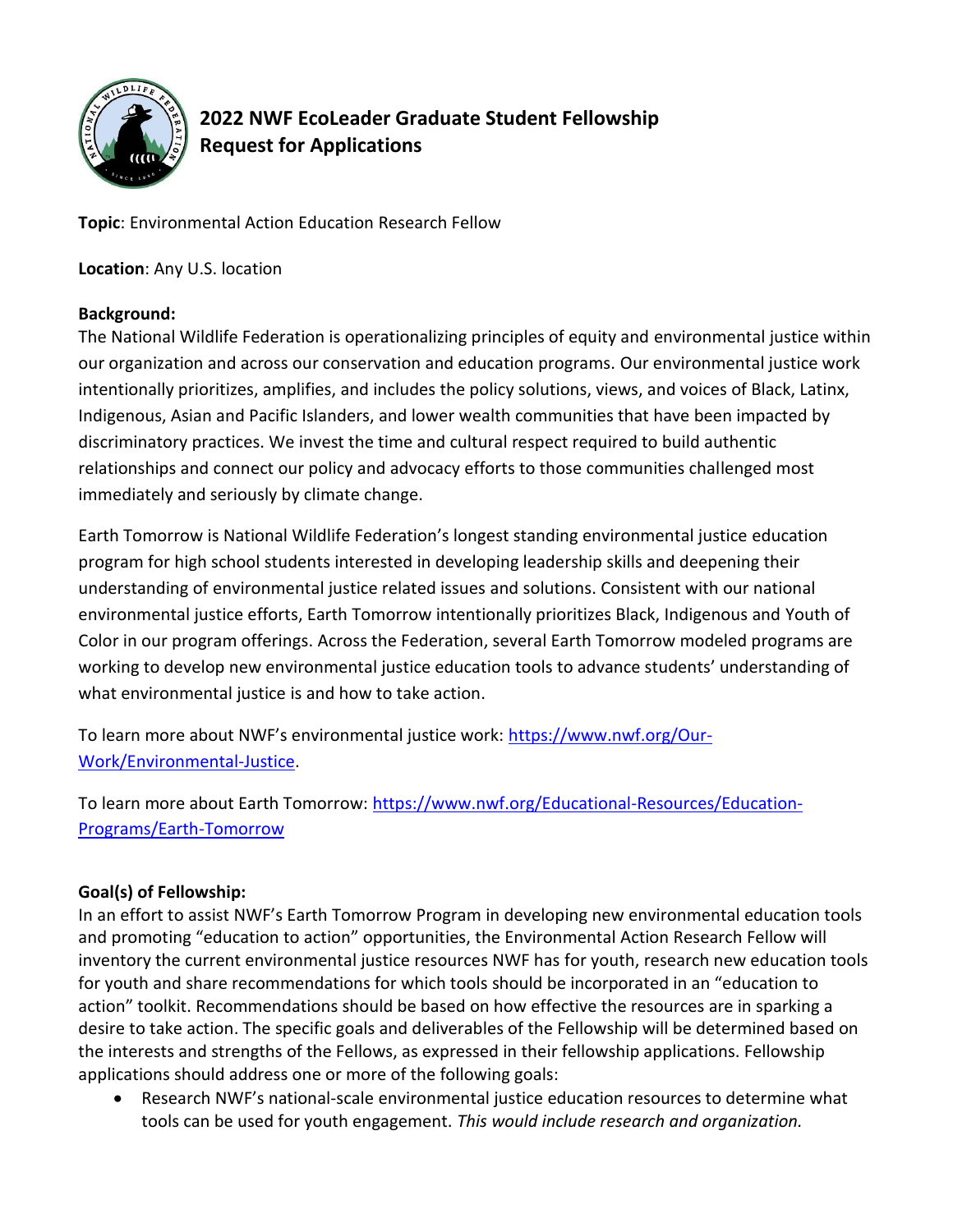

# **2022 NWF EcoLeader Graduate Student Fellowship Request for Applications**

**Topic**: Environmental Action Education Research Fellow

**Location**: Any U.S. location

## **Background:**

The National Wildlife Federation is operationalizing principles of equity and environmental justice within our organization and across our conservation and education programs. Our environmental justice work intentionally prioritizes, amplifies, and includes the policy solutions, views, and voices of Black, Latinx, Indigenous, Asian and Pacific Islanders, and lower wealth communities that have been impacted by discriminatory practices. We invest the time and cultural respect required to build authentic relationships and connect our policy and advocacy efforts to those communities challenged most immediately and seriously by climate change.

Earth Tomorrow is National Wildlife Federation's longest standing environmental justice education program for high school students interested in developing leadership skills and deepening their understanding of environmental justice related issues and solutions. Consistent with our national environmental justice efforts, Earth Tomorrow intentionally prioritizes Black, Indigenous and Youth of Color in our program offerings. Across the Federation, several Earth Tomorrow modeled programs are working to develop new environmental justice education tools to advance students' understanding of what environmental justice is and how to take action.

To learn more about NWF's environmental justice work: [https://www.nwf.org/Our-](https://www.nwf.org/Our-Work/Environmental-Justice)[Work/Environmental-Justice.](https://www.nwf.org/Our-Work/Environmental-Justice)

To learn more about Earth Tomorrow: [https://www.nwf.org/Educational-Resources/Education-](https://www.nwf.org/Educational-Resources/Education-Programs/Earth-Tomorrow)[Programs/Earth-Tomorrow](https://www.nwf.org/Educational-Resources/Education-Programs/Earth-Tomorrow)

# **Goal(s) of Fellowship:**

In an effort to assist NWF's Earth Tomorrow Program in developing new environmental education tools and promoting "education to action" opportunities, the Environmental Action Research Fellow will inventory the current environmental justice resources NWF has for youth, research new education tools for youth and share recommendations for which tools should be incorporated in an "education to action" toolkit. Recommendations should be based on how effective the resources are in sparking a desire to take action. The specific goals and deliverables of the Fellowship will be determined based on the interests and strengths of the Fellows, as expressed in their fellowship applications. Fellowship applications should address one or more of the following goals:

• Research NWF's national-scale environmental justice education resources to determine what tools can be used for youth engagement. *This would include research and organization.*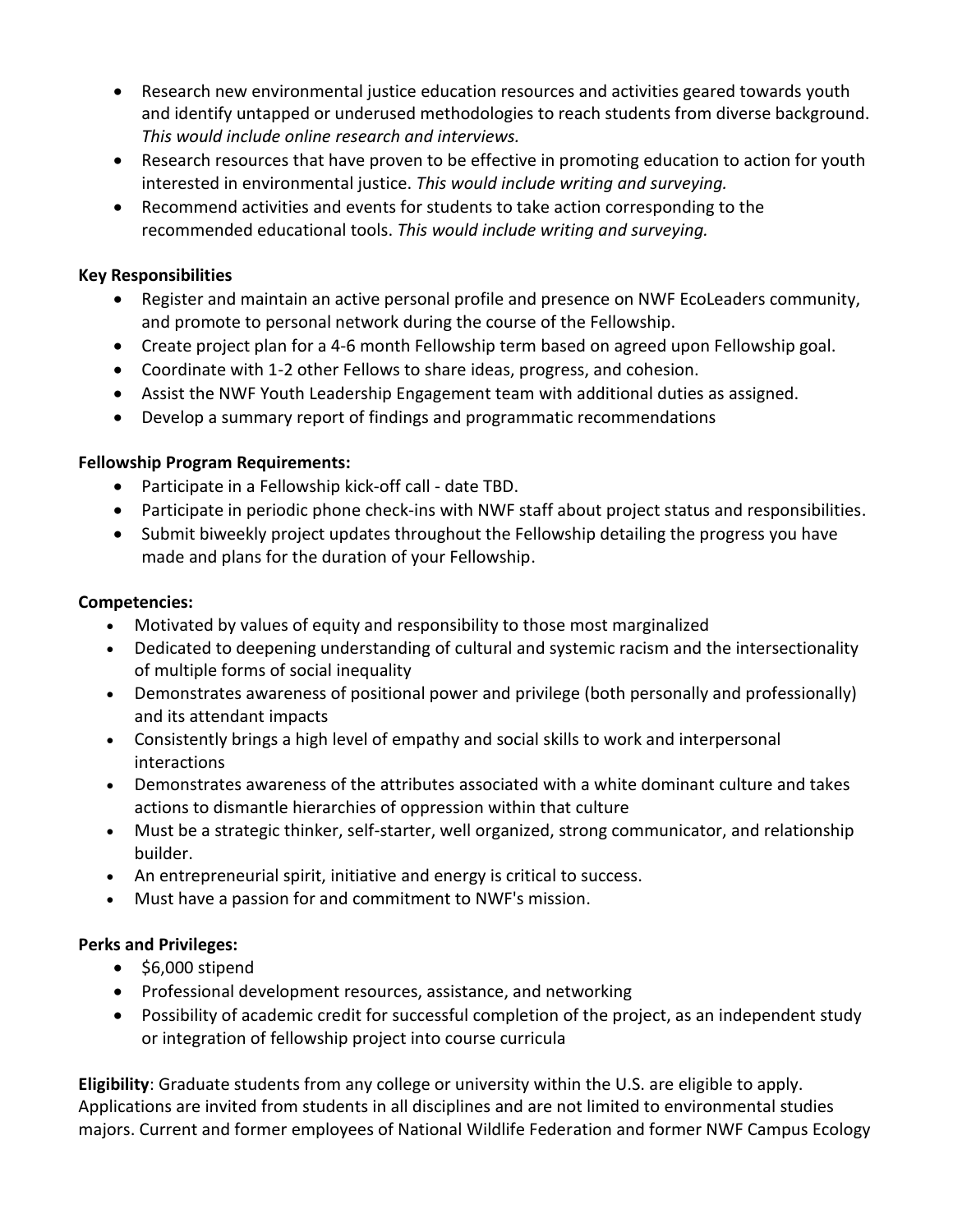- Research new environmental justice education resources and activities geared towards youth and identify untapped or underused methodologies to reach students from diverse background. *This would include online research and interviews.*
- Research resources that have proven to be effective in promoting education to action for youth interested in environmental justice. *This would include writing and surveying.*
- Recommend activities and events for students to take action corresponding to the recommended educational tools. *This would include writing and surveying.*

#### **Key Responsibilities**

- Register and maintain an active personal profile and presence on NWF EcoLeaders community, and promote to personal network during the course of the Fellowship.
- Create project plan for a 4-6 month Fellowship term based on agreed upon Fellowship goal.
- Coordinate with 1-2 other Fellows to share ideas, progress, and cohesion.
- Assist the NWF Youth Leadership Engagement team with additional duties as assigned.
- Develop a summary report of findings and programmatic recommendations

#### **Fellowship Program Requirements:**

- Participate in a Fellowship kick-off call date TBD.
- Participate in periodic phone check-ins with NWF staff about project status and responsibilities.
- Submit biweekly project updates throughout the Fellowship detailing the progress you have made and plans for the duration of your Fellowship.

#### **Competencies:**

- Motivated by values of equity and responsibility to those most marginalized
- Dedicated to deepening understanding of cultural and systemic racism and the intersectionality of multiple forms of social inequality
- Demonstrates awareness of positional power and privilege (both personally and professionally) and its attendant impacts
- Consistently brings a high level of empathy and social skills to work and interpersonal interactions
- Demonstrates awareness of the attributes associated with a white dominant culture and takes actions to dismantle hierarchies of oppression within that culture
- Must be a strategic thinker, self-starter, well organized, strong communicator, and relationship builder.
- An entrepreneurial spirit, initiative and energy is critical to success.
- Must have a passion for and commitment to NWF's mission.

#### **Perks and Privileges:**

- \$6,000 stipend
- Professional development resources, assistance, and networking
- Possibility of academic credit for successful completion of the project, as an independent study or integration of fellowship project into course curricula

**Eligibility**: Graduate students from any college or university within the U.S. are eligible to apply. Applications are invited from students in all disciplines and are not limited to environmental studies majors. Current and former employees of National Wildlife Federation and former NWF Campus Ecology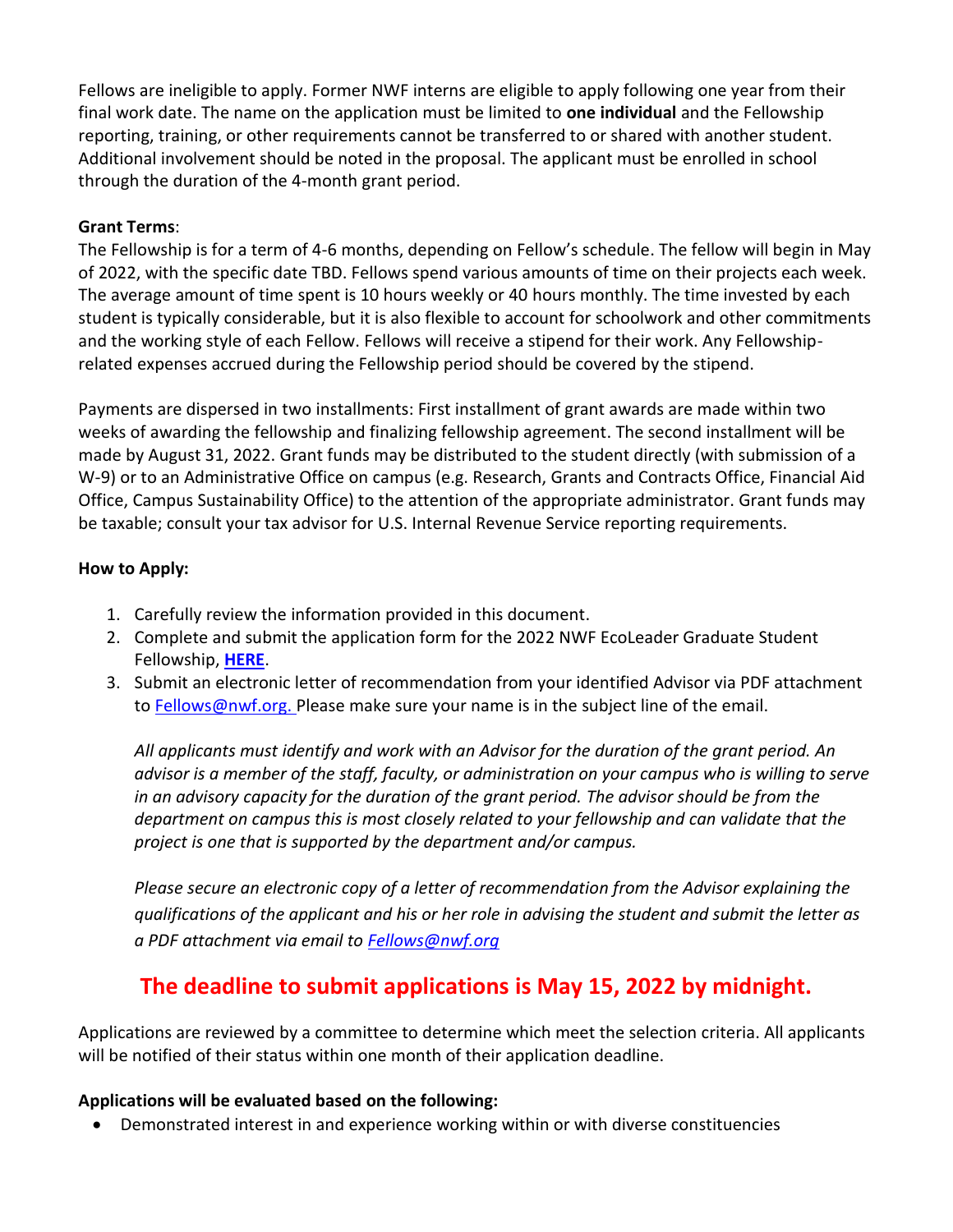Fellows are ineligible to apply. Former NWF interns are eligible to apply following one year from their final work date. The name on the application must be limited to **one individual** and the Fellowship reporting, training, or other requirements cannot be transferred to or shared with another student. Additional involvement should be noted in the proposal. The applicant must be enrolled in school through the duration of the 4-month grant period.

#### **Grant Terms**:

The Fellowship is for a term of 4-6 months, depending on Fellow's schedule. The fellow will begin in May of 2022, with the specific date TBD. Fellows spend various amounts of time on their projects each week. The average amount of time spent is 10 hours weekly or 40 hours monthly. The time invested by each student is typically considerable, but it is also flexible to account for schoolwork and other commitments and the working style of each Fellow. Fellows will receive a stipend for their work. Any Fellowshiprelated expenses accrued during the Fellowship period should be covered by the stipend.

Payments are dispersed in two installments: First installment of grant awards are made within two weeks of awarding the fellowship and finalizing fellowship agreement. The second installment will be made by August 31, 2022. Grant funds may be distributed to the student directly (with submission of a W-9) or to an Administrative Office on campus (e.g. Research, Grants and Contracts Office, Financial Aid Office, Campus Sustainability Office) to the attention of the appropriate administrator. Grant funds may be taxable; consult your tax advisor for U.S. Internal Revenue Service reporting requirements.

## **How to Apply:**

- 1. Carefully review the information provided in this document.
- 2. Complete and submit the application form for the 2022 NWF EcoLeader Graduate Student Fellowship, **[HERE](https://docs.google.com/forms/d/e/1FAIpQLSfuP9WgzptbsjEkQA1PTqB-0Qsv1oDKa0dN9g7bNt9TMQ3PLg/viewform?usp=sf_link)**.
- 3. Submit an electronic letter of recommendation from your identified Advisor via PDF attachment to [Fellows@nwf.org.](mailto:Fellows@nwf.org) Please make sure your name is in the subject line of the email.

*All applicants must identify and work with an Advisor for the duration of the grant period. An advisor is a member of the staff, faculty, or administration on your campus who is willing to serve in an advisory capacity for the duration of the grant period. The advisor should be from the department on campus this is most closely related to your fellowship and can validate that the project is one that is supported by the department and/or campus.* 

*Please secure an electronic copy of a letter of recommendation from the Advisor explaining the qualifications of the applicant and his or her role in advising the student and submit the letter as a PDF attachment via email to [Fellows@nwf.org](mailto:Fellows@nwf.org)*

# **The deadline to submit applications is May 15, 2022 by midnight.**

Applications are reviewed by a committee to determine which meet the selection criteria. All applicants will be notified of their status within one month of their application deadline.

#### **Applications will be evaluated based on the following:**

• Demonstrated interest in and experience working within or with diverse constituencies